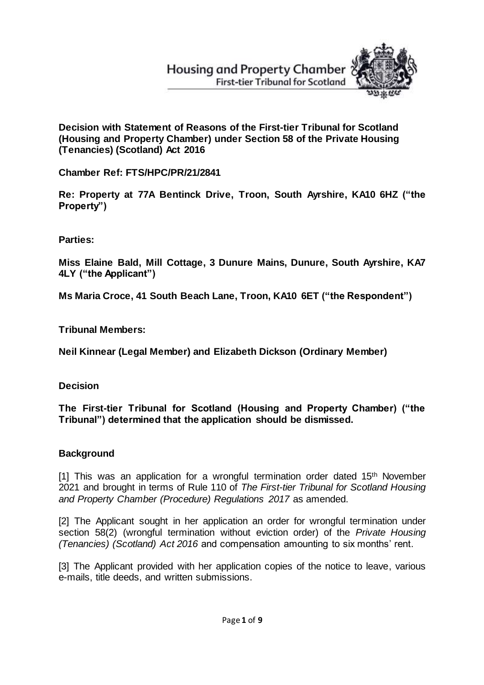# **Housing and Property Chamber First-tier Tribunal for Scotland**



**Decision with Statement of Reasons of the First-tier Tribunal for Scotland (Housing and Property Chamber) under Section 58 of the Private Housing (Tenancies) (Scotland) Act 2016**

**Chamber Ref: FTS/HPC/PR/21/2841**

**Re: Property at 77A Bentinck Drive, Troon, South Ayrshire, KA10 6HZ ("the Property")**

**Parties:**

**Miss Elaine Bald, Mill Cottage, 3 Dunure Mains, Dunure, South Ayrshire, KA7 4LY ("the Applicant")**

**Ms Maria Croce, 41 South Beach Lane, Troon, KA10 6ET ("the Respondent")** 

**Tribunal Members:**

**Neil Kinnear (Legal Member) and Elizabeth Dickson (Ordinary Member)**

**Decision**

**The First-tier Tribunal for Scotland (Housing and Property Chamber) ("the Tribunal") determined that the application should be dismissed.**

# **Background**

[1] This was an application for a wrongful termination order dated 15<sup>th</sup> November 2021 and brought in terms of Rule 110 of *The First-tier Tribunal for Scotland Housing and Property Chamber (Procedure) Regulations 2017* as amended.

[2] The Applicant sought in her application an order for wrongful termination under section 58(2) (wrongful termination without eviction order) of the *Private Housing (Tenancies) (Scotland) Act 2016* and compensation amounting to six months' rent.

[3] The Applicant provided with her application copies of the notice to leave, various e-mails, title deeds, and written submissions.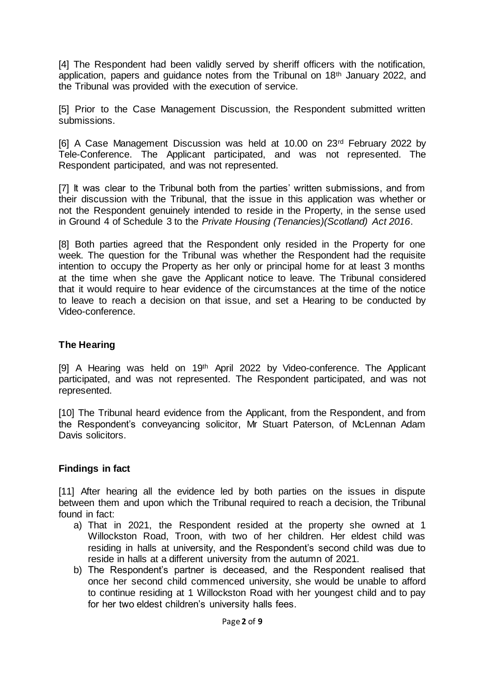[4] The Respondent had been validly served by sheriff officers with the notification, application, papers and guidance notes from the Tribunal on 18th January 2022, and the Tribunal was provided with the execution of service.

[5] Prior to the Case Management Discussion, the Respondent submitted written submissions.

[6] A Case Management Discussion was held at 10.00 on 23rd February 2022 by Tele-Conference. The Applicant participated, and was not represented. The Respondent participated, and was not represented.

[7] It was clear to the Tribunal both from the parties' written submissions, and from their discussion with the Tribunal, that the issue in this application was whether or not the Respondent genuinely intended to reside in the Property, in the sense used in Ground 4 of Schedule 3 to the *Private Housing (Tenancies)(Scotland) Act 2016*.

[8] Both parties agreed that the Respondent only resided in the Property for one week. The question for the Tribunal was whether the Respondent had the requisite intention to occupy the Property as her only or principal home for at least 3 months at the time when she gave the Applicant notice to leave. The Tribunal considered that it would require to hear evidence of the circumstances at the time of the notice to leave to reach a decision on that issue, and set a Hearing to be conducted by Video-conference.

# **The Hearing**

[9] A Hearing was held on 19<sup>th</sup> April 2022 by Video-conference. The Applicant participated, and was not represented. The Respondent participated, and was not represented.

[10] The Tribunal heard evidence from the Applicant, from the Respondent, and from the Respondent's conveyancing solicitor, Mr Stuart Paterson, of McLennan Adam Davis solicitors.

#### **Findings in fact**

[11] After hearing all the evidence led by both parties on the issues in dispute between them and upon which the Tribunal required to reach a decision, the Tribunal found in fact:

- a) That in 2021, the Respondent resided at the property she owned at 1 Willockston Road, Troon, with two of her children. Her eldest child was residing in halls at university, and the Respondent's second child was due to reside in halls at a different university from the autumn of 2021.
- b) The Respondent's partner is deceased, and the Respondent realised that once her second child commenced university, she would be unable to afford to continue residing at 1 Willockston Road with her youngest child and to pay for her two eldest children's university halls fees.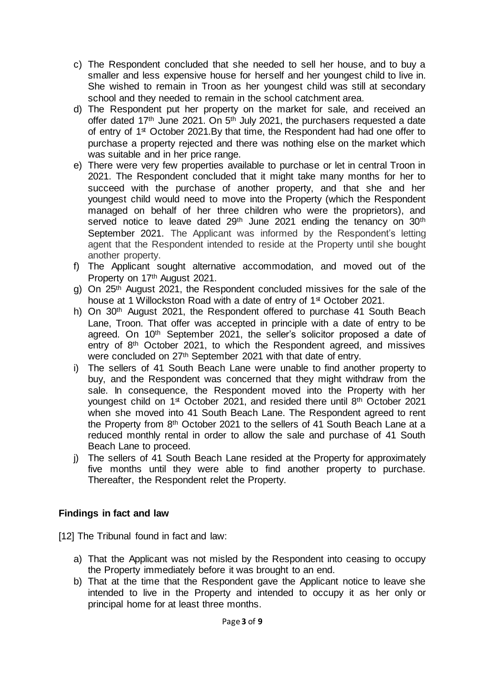- c) The Respondent concluded that she needed to sell her house, and to buy a smaller and less expensive house for herself and her youngest child to live in. She wished to remain in Troon as her youngest child was still at secondary school and they needed to remain in the school catchment area.
- d) The Respondent put her property on the market for sale, and received an offer dated 17<sup>th</sup> June 2021. On 5<sup>th</sup> July 2021, the purchasers requested a date of entry of 1<sup>st</sup> October 2021.By that time, the Respondent had had one offer to purchase a property rejected and there was nothing else on the market which was suitable and in her price range.
- e) There were very few properties available to purchase or let in central Troon in 2021. The Respondent concluded that it might take many months for her to succeed with the purchase of another property, and that she and her youngest child would need to move into the Property (which the Respondent managed on behalf of her three children who were the proprietors), and served notice to leave dated 29<sup>th</sup> June 2021 ending the tenancy on 30<sup>th</sup> September 2021. The Applicant was informed by the Respondent's letting agent that the Respondent intended to reside at the Property until she bought another property.
- f) The Applicant sought alternative accommodation, and moved out of the Property on 17th August 2021.
- g) On 25th August 2021, the Respondent concluded missives for the sale of the house at 1 Willockston Road with a date of entry of 1<sup>st</sup> October 2021.
- h) On 30<sup>th</sup> August 2021, the Respondent offered to purchase 41 South Beach Lane, Troon. That offer was accepted in principle with a date of entry to be agreed. On 10th September 2021, the seller's solicitor proposed a date of entry of 8th October 2021, to which the Respondent agreed, and missives were concluded on 27th September 2021 with that date of entry.
- i) The sellers of 41 South Beach Lane were unable to find another property to buy, and the Respondent was concerned that they might withdraw from the sale. In consequence, the Respondent moved into the Property with her youngest child on 1<sup>st</sup> October 2021, and resided there until 8<sup>th</sup> October 2021 when she moved into 41 South Beach Lane. The Respondent agreed to rent the Property from 8th October 2021 to the sellers of 41 South Beach Lane at a reduced monthly rental in order to allow the sale and purchase of 41 South Beach Lane to proceed.
- j) The sellers of 41 South Beach Lane resided at the Property for approximately five months until they were able to find another property to purchase. Thereafter, the Respondent relet the Property.

# **Findings in fact and law**

[12] The Tribunal found in fact and law:

- a) That the Applicant was not misled by the Respondent into ceasing to occupy the Property immediately before it was brought to an end.
- b) That at the time that the Respondent gave the Applicant notice to leave she intended to live in the Property and intended to occupy it as her only or principal home for at least three months.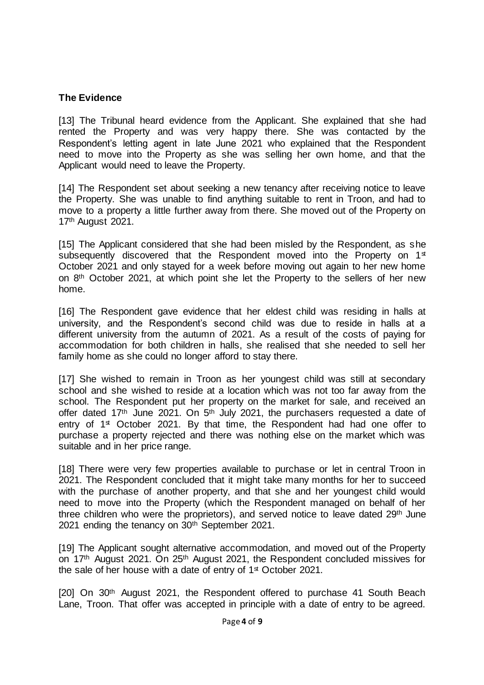# **The Evidence**

[13] The Tribunal heard evidence from the Applicant. She explained that she had rented the Property and was very happy there. She was contacted by the Respondent's letting agent in late June 2021 who explained that the Respondent need to move into the Property as she was selling her own home, and that the Applicant would need to leave the Property.

[14] The Respondent set about seeking a new tenancy after receiving notice to leave the Property. She was unable to find anything suitable to rent in Troon, and had to move to a property a little further away from there. She moved out of the Property on 17th August 2021.

[15] The Applicant considered that she had been misled by the Respondent, as she subsequently discovered that the Respondent moved into the Property on 1<sup>st</sup> October 2021 and only stayed for a week before moving out again to her new home on 8th October 2021, at which point she let the Property to the sellers of her new home.

[16] The Respondent gave evidence that her eldest child was residing in halls at university, and the Respondent's second child was due to reside in halls at a different university from the autumn of 2021. As a result of the costs of paying for accommodation for both children in halls, she realised that she needed to sell her family home as she could no longer afford to stay there.

[17] She wished to remain in Troon as her youngest child was still at secondary school and she wished to reside at a location which was not too far away from the school. The Respondent put her property on the market for sale, and received an offer dated 17<sup>th</sup> June 2021. On 5<sup>th</sup> July 2021, the purchasers requested a date of entry of 1<sup>st</sup> October 2021. By that time, the Respondent had had one offer to purchase a property rejected and there was nothing else on the market which was suitable and in her price range.

[18] There were very few properties available to purchase or let in central Troon in 2021. The Respondent concluded that it might take many months for her to succeed with the purchase of another property, and that she and her youngest child would need to move into the Property (which the Respondent managed on behalf of her three children who were the proprietors), and served notice to leave dated 29<sup>th</sup> June 2021 ending the tenancy on 30th September 2021.

[19] The Applicant sought alternative accommodation, and moved out of the Property on 17th August 2021. On 25th August 2021, the Respondent concluded missives for the sale of her house with a date of entry of 1<sup>st</sup> October 2021.

[20] On 30<sup>th</sup> August 2021, the Respondent offered to purchase 41 South Beach Lane, Troon. That offer was accepted in principle with a date of entry to be agreed.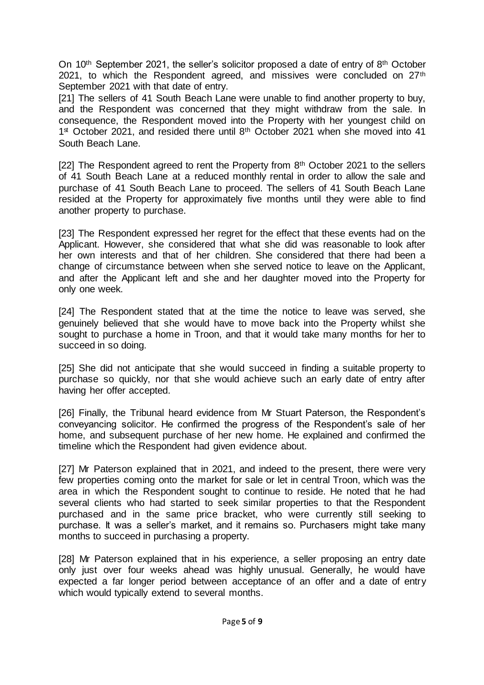On 10<sup>th</sup> September 2021, the seller's solicitor proposed a date of entry of 8<sup>th</sup> October 2021, to which the Respondent agreed, and missives were concluded on 27<sup>th</sup> September 2021 with that date of entry.

[21] The sellers of 41 South Beach Lane were unable to find another property to buy, and the Respondent was concerned that they might withdraw from the sale. In consequence, the Respondent moved into the Property with her youngest child on 1<sup>st</sup> October 2021, and resided there until 8<sup>th</sup> October 2021 when she moved into 41 South Beach Lane.

[22] The Respondent agreed to rent the Property from 8<sup>th</sup> October 2021 to the sellers of 41 South Beach Lane at a reduced monthly rental in order to allow the sale and purchase of 41 South Beach Lane to proceed. The sellers of 41 South Beach Lane resided at the Property for approximately five months until they were able to find another property to purchase.

[23] The Respondent expressed her regret for the effect that these events had on the Applicant. However, she considered that what she did was reasonable to look after her own interests and that of her children. She considered that there had been a change of circumstance between when she served notice to leave on the Applicant, and after the Applicant left and she and her daughter moved into the Property for only one week.

[24] The Respondent stated that at the time the notice to leave was served, she genuinely believed that she would have to move back into the Property whilst she sought to purchase a home in Troon, and that it would take many months for her to succeed in so doing.

[25] She did not anticipate that she would succeed in finding a suitable property to purchase so quickly, nor that she would achieve such an early date of entry after having her offer accepted.

[26] Finally, the Tribunal heard evidence from Mr Stuart Paterson, the Respondent's conveyancing solicitor. He confirmed the progress of the Respondent's sale of her home, and subsequent purchase of her new home. He explained and confirmed the timeline which the Respondent had given evidence about.

[27] Mr Paterson explained that in 2021, and indeed to the present, there were very few properties coming onto the market for sale or let in central Troon, which was the area in which the Respondent sought to continue to reside. He noted that he had several clients who had started to seek similar properties to that the Respondent purchased and in the same price bracket, who were currently still seeking to purchase. It was a seller's market, and it remains so. Purchasers might take many months to succeed in purchasing a property.

[28] Mr Paterson explained that in his experience, a seller proposing an entry date only just over four weeks ahead was highly unusual. Generally, he would have expected a far longer period between acceptance of an offer and a date of entry which would typically extend to several months.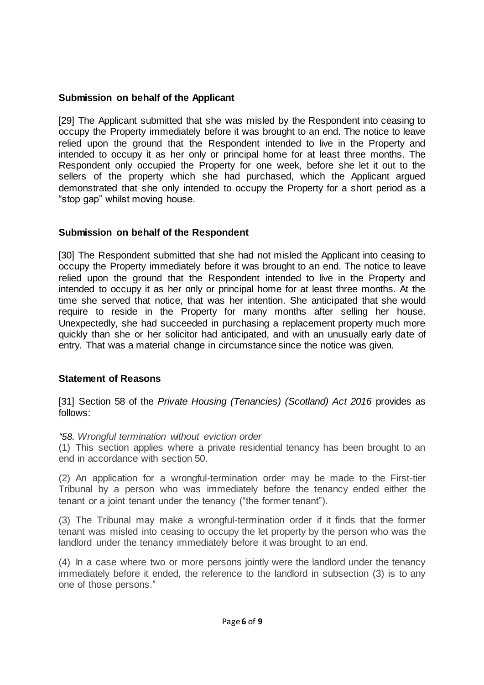# **Submission on behalf of the Applicant**

[29] The Applicant submitted that she was misled by the Respondent into ceasing to occupy the Property immediately before it was brought to an end. The notice to leave relied upon the ground that the Respondent intended to live in the Property and intended to occupy it as her only or principal home for at least three months. The Respondent only occupied the Property for one week, before she let it out to the sellers of the property which she had purchased, which the Applicant argued demonstrated that she only intended to occupy the Property for a short period as a "stop gap" whilst moving house.

# **Submission on behalf of the Respondent**

[30] The Respondent submitted that she had not misled the Applicant into ceasing to occupy the Property immediately before it was brought to an end. The notice to leave relied upon the ground that the Respondent intended to live in the Property and intended to occupy it as her only or principal home for at least three months. At the time she served that notice, that was her intention. She anticipated that she would require to reside in the Property for many months after selling her house. Unexpectedly, she had succeeded in purchasing a replacement property much more quickly than she or her solicitor had anticipated, and with an unusually early date of entry. That was a material change in circumstance since the notice was given.

# **Statement of Reasons**

[31] Section 58 of the *Private Housing (Tenancies) (Scotland) Act 2016* provides as follows:

# *"58. Wrongful termination without eviction order*

(1) This section applies where a private residential tenancy has been brought to an end in accordance with section 50.

(2) An application for a wrongful-termination order may be made to the First-tier Tribunal by a person who was immediately before the tenancy ended either the tenant or a joint tenant under the tenancy ("the former tenant").

(3) The Tribunal may make a wrongful-termination order if it finds that the former tenant was misled into ceasing to occupy the let property by the person who was the landlord under the tenancy immediately before it was brought to an end.

(4) In a case where two or more persons jointly were the landlord under the tenancy immediately before it ended, the reference to the landlord in subsection (3) is to any one of those persons."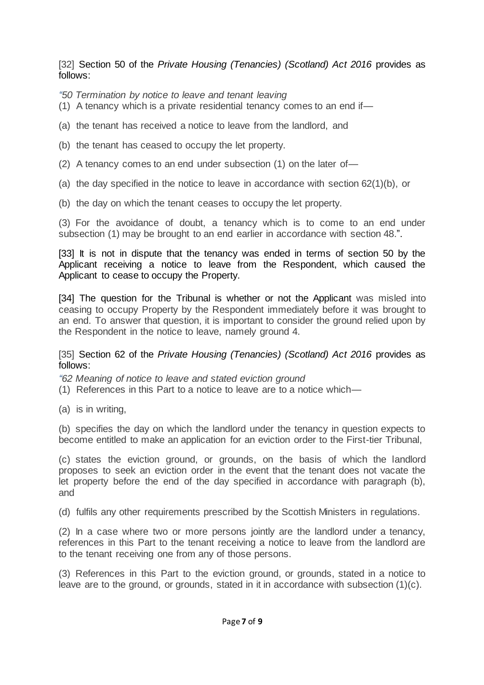### [32] Section 50 of the *Private Housing (Tenancies) (Scotland) Act 2016* provides as follows:

*"50 Termination by notice to leave and tenant leaving*

- (1) A tenancy which is a private residential tenancy comes to an end if—
- (a) the tenant has received a notice to leave from the landlord, and
- (b) the tenant has ceased to occupy the let property.
- (2) A tenancy comes to an end under subsection (1) on the later of—
- (a) the day specified in the notice to leave in accordance with section  $62(1)(b)$ , or
- (b) the day on which the tenant ceases to occupy the let property.

(3) For the avoidance of doubt, a tenancy which is to come to an end under subsection (1) may be brought to an end earlier in accordance with section 48.".

[33] It is not in dispute that the tenancy was ended in terms of section 50 by the Applicant receiving a notice to leave from the Respondent, which caused the Applicant to cease to occupy the Property.

[34] The question for the Tribunal is whether or not the Applicant was misled into ceasing to occupy Property by the Respondent immediately before it was brought to an end. To answer that question, it is important to consider the ground relied upon by the Respondent in the notice to leave, namely ground 4.

#### [35] Section 62 of the *Private Housing (Tenancies) (Scotland) Act 2016* provides as follows:

*"62 Meaning of notice to leave and stated eviction ground*

- (1) References in this Part to a notice to leave are to a notice which—
- (a) is in writing,

(b) specifies the day on which the landlord under the tenancy in question expects to become entitled to make an application for an eviction order to the First-tier Tribunal,

(c) states the eviction ground, or grounds, on the basis of which the landlord proposes to seek an eviction order in the event that the tenant does not vacate the let property before the end of the day specified in accordance with paragraph (b), and

(d) fulfils any other requirements prescribed by the Scottish Ministers in regulations.

(2) In a case where two or more persons jointly are the landlord under a tenancy, references in this Part to the tenant receiving a notice to leave from the landlord are to the tenant receiving one from any of those persons.

(3) References in this Part to the eviction ground, or grounds, stated in a notice to leave are to the ground, or grounds, stated in it in accordance with subsection  $(1)(c)$ .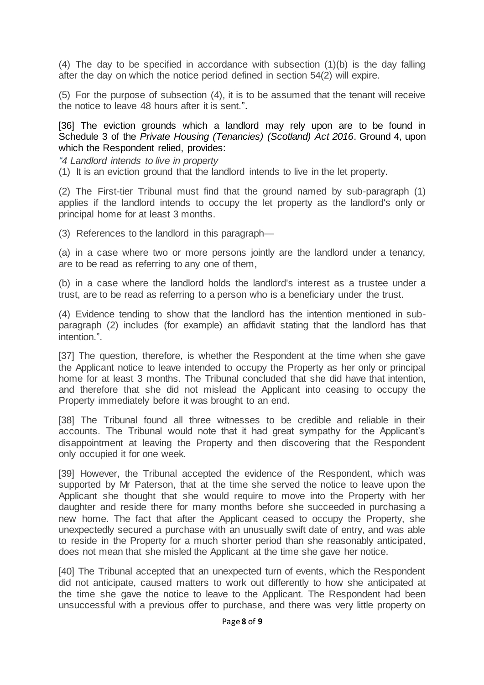(4) The day to be specified in accordance with subsection (1)(b) is the day falling after the day on which the notice period defined in section 54(2) will expire.

(5) For the purpose of subsection (4), it is to be assumed that the tenant will receive the notice to leave 48 hours after it is sent.".

[36] The eviction grounds which a landlord may rely upon are to be found in Schedule 3 of the *Private Housing (Tenancies) (Scotland) Act 2016*. Ground 4, upon which the Respondent relied, provides:

*"4 Landlord intends to live in property*

(1) It is an eviction ground that the landlord intends to live in the let property.

(2) The First-tier Tribunal must find that the ground named by sub-paragraph (1) applies if the landlord intends to occupy the let property as the landlord's only or principal home for at least 3 months.

(3) References to the landlord in this paragraph—

(a) in a case where two or more persons jointly are the landlord under a tenancy, are to be read as referring to any one of them,

(b) in a case where the landlord holds the landlord's interest as a trustee under a trust, are to be read as referring to a person who is a beneficiary under the trust.

(4) Evidence tending to show that the landlord has the intention mentioned in subparagraph (2) includes (for example) an affidavit stating that the landlord has that intention.".

[37] The question, therefore, is whether the Respondent at the time when she gave the Applicant notice to leave intended to occupy the Property as her only or principal home for at least 3 months. The Tribunal concluded that she did have that intention, and therefore that she did not mislead the Applicant into ceasing to occupy the Property immediately before it was brought to an end.

[38] The Tribunal found all three witnesses to be credible and reliable in their accounts. The Tribunal would note that it had great sympathy for the Applicant's disappointment at leaving the Property and then discovering that the Respondent only occupied it for one week.

[39] However, the Tribunal accepted the evidence of the Respondent, which was supported by Mr Paterson, that at the time she served the notice to leave upon the Applicant she thought that she would require to move into the Property with her daughter and reside there for many months before she succeeded in purchasing a new home. The fact that after the Applicant ceased to occupy the Property, she unexpectedly secured a purchase with an unusually swift date of entry, and was able to reside in the Property for a much shorter period than she reasonably anticipated, does not mean that she misled the Applicant at the time she gave her notice.

[40] The Tribunal accepted that an unexpected turn of events, which the Respondent did not anticipate, caused matters to work out differently to how she anticipated at the time she gave the notice to leave to the Applicant. The Respondent had been unsuccessful with a previous offer to purchase, and there was very little property on